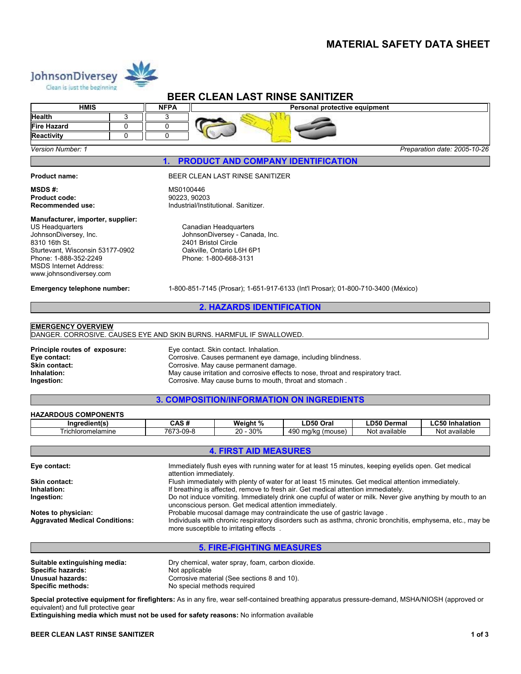### **MATERIAL SAFETY DATA SHEET**



## **BEER CLEAN LAST RINSE SANITIZER**

| <b>HMIS</b><br><b>NFPA</b> |  | Personal protective equipment |                              |  |  |
|----------------------------|--|-------------------------------|------------------------------|--|--|
| Health                     |  |                               |                              |  |  |
| Fire Hazard                |  |                               |                              |  |  |
| <b>Reactivity</b>          |  |                               |                              |  |  |
| <b>Version Number: 1</b>   |  |                               | Preparation date: 2005-10-26 |  |  |

**1. PRODUCT AND COMPANY IDENTIFICATION** 

**Product code:** 

 $MSDS #:$ 

#### **Product name:** BEER CLEAN LAST RINSE SANITIZER

MS0100446<br>90223, 90203 **Recommended use:** Industrial/Institutional. Sanitizer.

#### **Manufacturer, importer, supplier:**

US Headquarters JohnsonDiversey, Inc. 8310 16th St. Sturtevant, Wisconsin 53177-0902 Phone: 1-888-352-2249 MSDS Internet Address: www.johnsondiversey.com

Canadian Headquarters JohnsonDiversey - Canada, Inc. 2401 Bristol Circle Oakville, Ontario L6H 6P1 Phone: 1-800-668-3131

**Emergency telephone number:** 1-800-851-7145 (Prosar); 1-651-917-6133 (Int'l Prosar); 01-800-710-3400 (México)

### **2. HAZARDS IDENTIFICATION**

#### **EMERGENCY OVERVIEW**

DANGER. CORROSIVE. CAUSES EYE AND SKIN BURNS. HARMFUL IF SWALLOWED.

**Principle routes of exposure:** Eye contact. Skin contact. Inhalation. **Eye contact:** Corrosive. Causes permanent eye damage, including blindness.<br>
Skin contact: Corrosive. May cause permanent damage. **Skin contact:** Corrosive. May cause permanent damage.<br> **Corrosive permanent damage.**<br>
May cause irritation and corrosive effects to **Inhalation:** May cause irritation and corrosive effects to nose, throat and respiratory tract.<br> **Ingestion:** Corrosive. May cause burns to mouth. throat and stomach. **Ingestion:** Corrosive. May cause burns to mouth, throat and stomach .

### **3. COMPOSITION/INFORMATION ON INGREDIENTS**

#### **HAZARDOUS COMPONENTS**

| $- -$<br>Inaredient(s) | .<br>⊶ CAS                | Weight %       | LD50 Ora'                        | D50 Derma     | $\sim$ $\sim$<br>Inhalation<br><b>Innalation</b> |  |
|------------------------|---------------------------|----------------|----------------------------------|---------------|--------------------------------------------------|--|
| Frichloromelamine      | 7673-<br>-09-8<br>. 010-' | 30%<br>ാറ<br>້ | 490<br>mm/<br>(mouse)<br>i iu/ru | Not available | available:<br>NΟ                                 |  |

#### **4. FIRST AID MEASURES**

| Eye contact:                          | Immediately flush eyes with running water for at least 15 minutes, keeping eyelids open. Get medical<br>attention immediately.                                      |
|---------------------------------------|---------------------------------------------------------------------------------------------------------------------------------------------------------------------|
| <b>Skin contact:</b>                  | Flush immediately with plenty of water for at least 15 minutes. Get medical attention immediately.                                                                  |
| Inhalation:                           | If breathing is affected, remove to fresh air. Get medical attention immediately.                                                                                   |
| Ingestion:                            | Do not induce vomiting. Immediately drink one cupful of water or milk. Never give anything by mouth to an<br>unconscious person. Get medical attention immediately. |
| Notes to physician:                   | Probable mucosal damage may contraindicate the use of gastric lavage.                                                                                               |
| <b>Aggravated Medical Conditions:</b> | Individuals with chronic respiratory disorders such as asthma, chronic bronchitis, emphysema, etc., may be<br>more susceptible to irritating effects.               |
|                                       |                                                                                                                                                                     |

### **5. FIRE-FIGHTING MEASURES**

| Dry chemical, water spray, foam, carbon dioxide. |
|--------------------------------------------------|
|                                                  |
| Corrosive material (See sections 8 and 10).      |
| No special methods required                      |
|                                                  |

**Special protective equipment for firefighters:** As in any fire, wear self-contained breathing apparatus pressure-demand, MSHA/NIOSH (approved or equivalent) and full protective gear

**Extinguishing media which must not be used for safety reasons:** No information available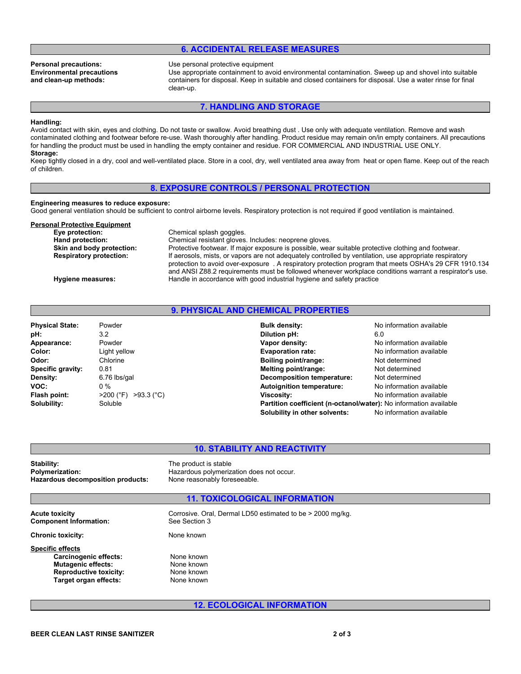### **6. ACCIDENTAL RELEASE MEASURES**

**Environmental precautions and clean-up methods:**

**Personal precautions:** Use personal protective equipment

Use appropriate containment to avoid environmental contamination. Sweep up and shovel into suitable containers for disposal. Keep in suitable and closed containers for disposal. Use a water rinse for final clean-up.

**7. HANDLING AND STORAGE** 

#### **Handling:**

Avoid contact with skin, eyes and clothing. Do not taste or swallow. Avoid breathing dust . Use only with adequate ventilation. Remove and wash contaminated clothing and footwear before re-use. Wash thoroughly after handling. Product residue may remain on/in empty containers. All precautions for handling the product must be used in handling the empty container and residue. FOR COMMERCIAL AND INDUSTRIAL USE ONLY. **Storage:**

Keep tightly closed in a dry, cool and well-ventilated place. Store in a cool, dry, well ventilated area away from heat or open flame. Keep out of the reach of children.

#### **8. EXPOSURE CONTROLS / PERSONAL PROTECTION**

**Engineering measures to reduce exposure:**

Good general ventilation should be sufficient to control airborne levels. Respiratory protection is not required if good ventilation is maintained.

## **Personal Protective Equipment**<br>Eye protection:

**Chemical splash goggles. Hand protection:** Chemical resistant gloves. Includes: neoprene gloves.<br> **Skin and body protection:** Protective footwear. If major exposure is possible, wear Protective footwear. If major exposure is possible, wear suitable protective clothing and footwear. **Respiratory protection:** If aerosols, mists, or vapors are not adequately controlled by ventilation, use appropriate respiratory protection to avoid over-exposure . A respiratory protection program that meets OSHA's 29 CFR 1910.134 and ANSI Z88.2 requirements must be followed whenever workplace conditions warrant a respirator's use. **Hygiene measures:** Handle in accordance with good industrial hygiene and safety practice

#### **9. PHYSICAL AND CHEMICAL PROPERTIES**

| Powder                    | <b>Bulk density:</b>                                              | No information available |
|---------------------------|-------------------------------------------------------------------|--------------------------|
| 3.2                       | Dilution pH:                                                      | 6.0                      |
| Powder                    | Vapor density:                                                    | No information available |
| Light yellow              | <b>Evaporation rate:</b>                                          | No information available |
| Chlorine                  | Boiling point/range:                                              | Not determined           |
| 0.81                      | Melting point/range:                                              | Not determined           |
| 6.76 lbs/gal              | <b>Decomposition temperature:</b>                                 | Not determined           |
| $0\%$                     | <b>Autoignition temperature:</b>                                  | No information available |
| $>93.3$ (°C)<br>>200 (°F) | <b>Viscosity:</b>                                                 | No information available |
| Soluble                   | Partition coefficient (n-octanol/water): No information available |                          |
|                           | Solubility in other solvents:                                     | No information available |
|                           |                                                                   |                          |

# **10. STABILITY AND REACTIVITY**<br> **10. STABILITY AND REACTIVITY**<br>
The product is stable

**Stability:**<br> **Polymerization:**<br> **Polymerization:**<br> **Polymerization: Hazardous decomposition products:** None reasonably foreseeable.

**Polymerization:** Hazardous polymerization does not occur.

#### **11. TOXICOLOGICAL INFORMATION**

**Component Information:** 

**Acute toxicity** Corrosive. Oral, Dermal LD50 estimated to be > 2000 mg/kg.<br>
Component Information: See Section 3

**Chronic toxicity:** None known

**Specific effects** Carcinogenic effects: None known **Mutagenic effects:** None known **Reproductive toxicity:** None known<br> **Target organ effects:** None known Target organ effects:

**12. ECOLOGICAL INFORMATION**